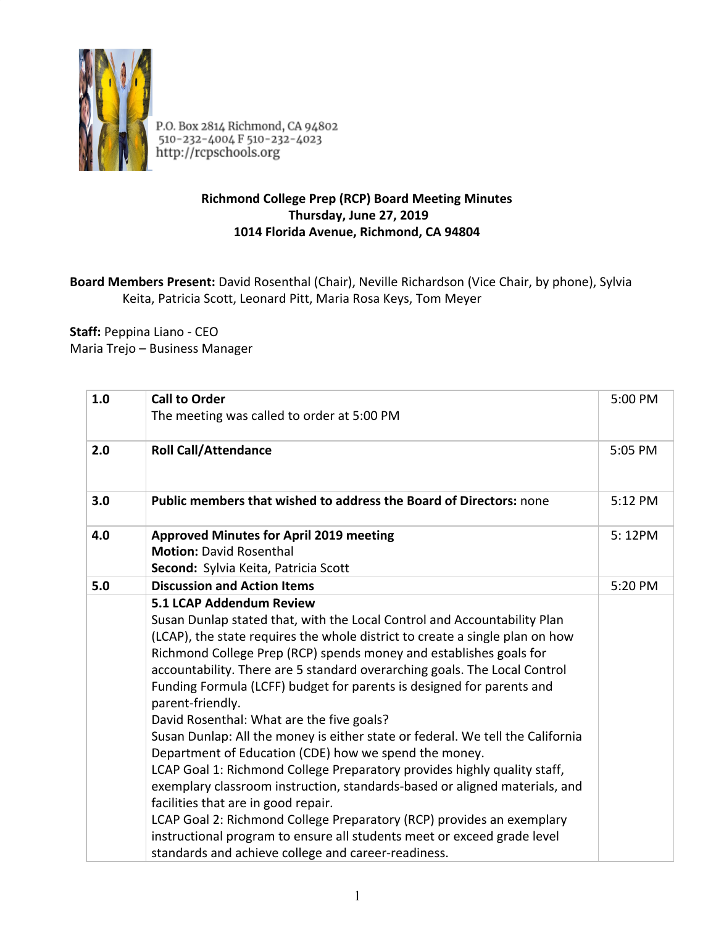

P.O. Box 2814 Richmond, CA 94802<br>510-232-4004 F 510-232-4023<br>http://rcpschools.org

## **Richmond College Prep (RCP) Board Meeting Minutes Thursday, June 27, 2019 1014 Florida Avenue, Richmond, CA 94804**

## **Board Members Present:** David Rosenthal (Chair), Neville Richardson (Vice Chair, by phone), Sylvia Keita, Patricia Scott, Leonard Pitt, Maria Rosa Keys, Tom Meyer

**Staff:** Peppina Liano - CEO Maria Trejo – Business Manager

| 1.0 | <b>Call to Order</b><br>The meeting was called to order at 5:00 PM                                                                                                                                                                                                                                                                                                                                                                                                                                                                                                                                                                                                                                                                                                                                                                                                                                                                                                                                                                       | 5:00 PM |
|-----|------------------------------------------------------------------------------------------------------------------------------------------------------------------------------------------------------------------------------------------------------------------------------------------------------------------------------------------------------------------------------------------------------------------------------------------------------------------------------------------------------------------------------------------------------------------------------------------------------------------------------------------------------------------------------------------------------------------------------------------------------------------------------------------------------------------------------------------------------------------------------------------------------------------------------------------------------------------------------------------------------------------------------------------|---------|
| 2.0 | <b>Roll Call/Attendance</b>                                                                                                                                                                                                                                                                                                                                                                                                                                                                                                                                                                                                                                                                                                                                                                                                                                                                                                                                                                                                              | 5:05 PM |
| 3.0 | Public members that wished to address the Board of Directors: none                                                                                                                                                                                                                                                                                                                                                                                                                                                                                                                                                                                                                                                                                                                                                                                                                                                                                                                                                                       | 5:12 PM |
| 4.0 | <b>Approved Minutes for April 2019 meeting</b><br><b>Motion: David Rosenthal</b><br>Second: Sylvia Keita, Patricia Scott                                                                                                                                                                                                                                                                                                                                                                                                                                                                                                                                                                                                                                                                                                                                                                                                                                                                                                                 | 5:12PM  |
| 5.0 | <b>Discussion and Action Items</b>                                                                                                                                                                                                                                                                                                                                                                                                                                                                                                                                                                                                                                                                                                                                                                                                                                                                                                                                                                                                       | 5:20 PM |
|     | 5.1 LCAP Addendum Review<br>Susan Dunlap stated that, with the Local Control and Accountability Plan<br>(LCAP), the state requires the whole district to create a single plan on how<br>Richmond College Prep (RCP) spends money and establishes goals for<br>accountability. There are 5 standard overarching goals. The Local Control<br>Funding Formula (LCFF) budget for parents is designed for parents and<br>parent-friendly.<br>David Rosenthal: What are the five goals?<br>Susan Dunlap: All the money is either state or federal. We tell the California<br>Department of Education (CDE) how we spend the money.<br>LCAP Goal 1: Richmond College Preparatory provides highly quality staff,<br>exemplary classroom instruction, standards-based or aligned materials, and<br>facilities that are in good repair.<br>LCAP Goal 2: Richmond College Preparatory (RCP) provides an exemplary<br>instructional program to ensure all students meet or exceed grade level<br>standards and achieve college and career-readiness. |         |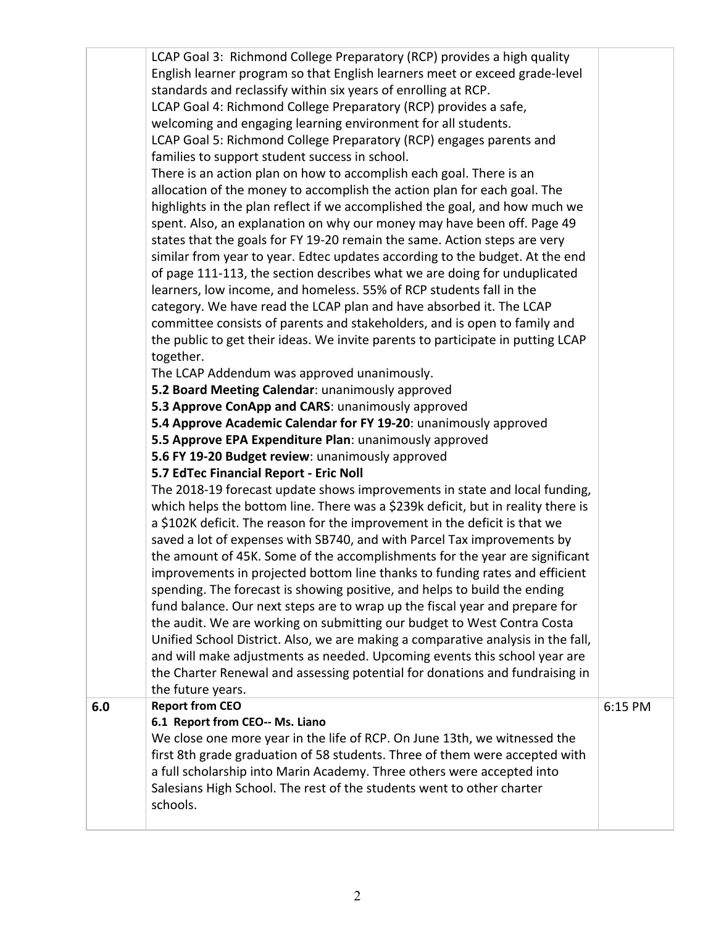|     | LCAP Goal 3: Richmond College Preparatory (RCP) provides a high quality          |         |
|-----|----------------------------------------------------------------------------------|---------|
|     | English learner program so that English learners meet or exceed grade-level      |         |
|     | standards and reclassify within six years of enrolling at RCP.                   |         |
|     | LCAP Goal 4: Richmond College Preparatory (RCP) provides a safe,                 |         |
|     | welcoming and engaging learning environment for all students.                    |         |
|     | LCAP Goal 5: Richmond College Preparatory (RCP) engages parents and              |         |
|     | families to support student success in school.                                   |         |
|     | There is an action plan on how to accomplish each goal. There is an              |         |
|     | allocation of the money to accomplish the action plan for each goal. The         |         |
|     | highlights in the plan reflect if we accomplished the goal, and how much we      |         |
|     | spent. Also, an explanation on why our money may have been off. Page 49          |         |
|     | states that the goals for FY 19-20 remain the same. Action steps are very        |         |
|     | similar from year to year. Edtec updates according to the budget. At the end     |         |
|     | of page 111-113, the section describes what we are doing for unduplicated        |         |
|     | learners, low income, and homeless. 55% of RCP students fall in the              |         |
|     | category. We have read the LCAP plan and have absorbed it. The LCAP              |         |
|     | committee consists of parents and stakeholders, and is open to family and        |         |
|     | the public to get their ideas. We invite parents to participate in putting LCAP  |         |
|     | together.                                                                        |         |
|     | The LCAP Addendum was approved unanimously.                                      |         |
|     | 5.2 Board Meeting Calendar: unanimously approved                                 |         |
|     | 5.3 Approve ConApp and CARS: unanimously approved                                |         |
|     | 5.4 Approve Academic Calendar for FY 19-20: unanimously approved                 |         |
|     | 5.5 Approve EPA Expenditure Plan: unanimously approved                           |         |
|     | 5.6 FY 19-20 Budget review: unanimously approved                                 |         |
|     | 5.7 EdTec Financial Report - Eric Noll                                           |         |
|     | The 2018-19 forecast update shows improvements in state and local funding,       |         |
|     | which helps the bottom line. There was a \$239k deficit, but in reality there is |         |
|     | a \$102K deficit. The reason for the improvement in the deficit is that we       |         |
|     | saved a lot of expenses with SB740, and with Parcel Tax improvements by          |         |
|     | the amount of 45K. Some of the accomplishments for the year are significant      |         |
|     | improvements in projected bottom line thanks to funding rates and efficient      |         |
|     | spending. The forecast is showing positive, and helps to build the ending        |         |
|     | fund balance. Our next steps are to wrap up the fiscal year and prepare for      |         |
|     | the audit. We are working on submitting our budget to West Contra Costa          |         |
|     | Unified School District. Also, we are making a comparative analysis in the fall, |         |
|     | and will make adjustments as needed. Upcoming events this school year are        |         |
|     | the Charter Renewal and assessing potential for donations and fundraising in     |         |
|     | the future years.                                                                |         |
| 6.0 | <b>Report from CEO</b>                                                           | 6:15 PM |
|     | 6.1 Report from CEO-- Ms. Liano                                                  |         |
|     | We close one more year in the life of RCP. On June 13th, we witnessed the        |         |
|     | first 8th grade graduation of 58 students. Three of them were accepted with      |         |
|     | a full scholarship into Marin Academy. Three others were accepted into           |         |
|     | Salesians High School. The rest of the students went to other charter            |         |
|     | schools.                                                                         |         |
|     |                                                                                  |         |